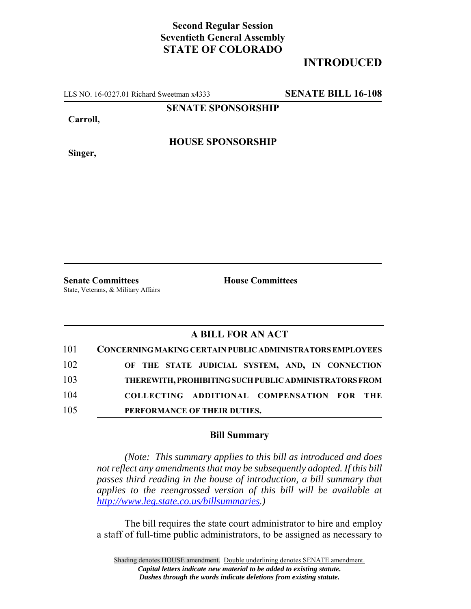## **Second Regular Session Seventieth General Assembly STATE OF COLORADO**

## **INTRODUCED**

LLS NO. 16-0327.01 Richard Sweetman x4333 **SENATE BILL 16-108**

**SENATE SPONSORSHIP**

**Carroll,**

**Singer,**

**HOUSE SPONSORSHIP**

**Senate Committees House Committees** 

State, Veterans, & Military Affairs

## **A BILL FOR AN ACT**

| 101 | CONCERNING MAKING CERTAIN PUBLIC ADMINISTRATORS EMPLOYEES |
|-----|-----------------------------------------------------------|
| 102 | OF THE STATE JUDICIAL SYSTEM, AND, IN CONNECTION          |
| 103 | THEREWITH, PROHIBITING SUCH PUBLIC ADMINISTRATORS FROM    |
| 104 | COLLECTING ADDITIONAL COMPENSATION FOR THE                |
| 105 | PERFORMANCE OF THEIR DUTIES.                              |

## **Bill Summary**

*(Note: This summary applies to this bill as introduced and does not reflect any amendments that may be subsequently adopted. If this bill passes third reading in the house of introduction, a bill summary that applies to the reengrossed version of this bill will be available at http://www.leg.state.co.us/billsummaries.)*

The bill requires the state court administrator to hire and employ a staff of full-time public administrators, to be assigned as necessary to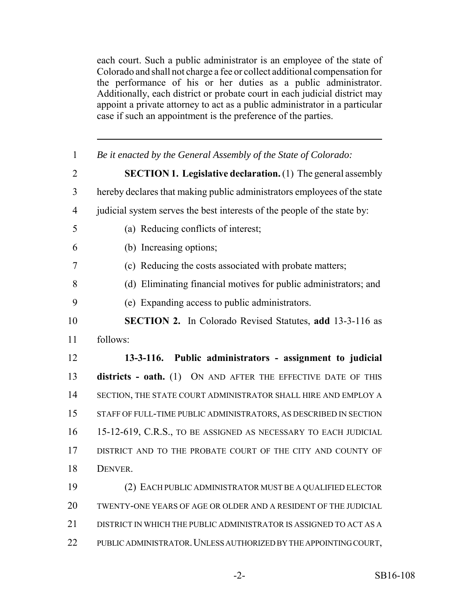each court. Such a public administrator is an employee of the state of Colorado and shall not charge a fee or collect additional compensation for the performance of his or her duties as a public administrator. Additionally, each district or probate court in each judicial district may appoint a private attorney to act as a public administrator in a particular case if such an appointment is the preference of the parties.

| $\mathbf{1}$   | Be it enacted by the General Assembly of the State of Colorado:          |  |  |  |  |
|----------------|--------------------------------------------------------------------------|--|--|--|--|
| $\overline{2}$ | <b>SECTION 1. Legislative declaration.</b> (1) The general assembly      |  |  |  |  |
| 3              | hereby declares that making public administrators employees of the state |  |  |  |  |
| $\overline{4}$ | judicial system serves the best interests of the people of the state by: |  |  |  |  |
| 5              | (a) Reducing conflicts of interest;                                      |  |  |  |  |
| 6              | (b) Increasing options;                                                  |  |  |  |  |
| 7              | (c) Reducing the costs associated with probate matters;                  |  |  |  |  |
| 8              | (d) Eliminating financial motives for public administrators; and         |  |  |  |  |
| 9              | (e) Expanding access to public administrators.                           |  |  |  |  |
| 10             | <b>SECTION 2.</b> In Colorado Revised Statutes, add 13-3-116 as          |  |  |  |  |
| 11             | follows:                                                                 |  |  |  |  |
|                |                                                                          |  |  |  |  |
| 12             | 13-3-116. Public administrators - assignment to judicial                 |  |  |  |  |
| 13             | districts - oath. (1) ON AND AFTER THE EFFECTIVE DATE OF THIS            |  |  |  |  |
| 14             | SECTION, THE STATE COURT ADMINISTRATOR SHALL HIRE AND EMPLOY A           |  |  |  |  |
| 15             | STAFF OF FULL-TIME PUBLIC ADMINISTRATORS, AS DESCRIBED IN SECTION        |  |  |  |  |
| 16             | 15-12-619, C.R.S., TO BE ASSIGNED AS NECESSARY TO EACH JUDICIAL          |  |  |  |  |
| 17             | DISTRICT AND TO THE PROBATE COURT OF THE CITY AND COUNTY OF              |  |  |  |  |
| 18             | DENVER.                                                                  |  |  |  |  |
| 19             | (2) EACH PUBLIC ADMINISTRATOR MUST BE A QUALIFIED ELECTOR                |  |  |  |  |
| 20             | TWENTY-ONE YEARS OF AGE OR OLDER AND A RESIDENT OF THE JUDICIAL          |  |  |  |  |
| 21             | DISTRICT IN WHICH THE PUBLIC ADMINISTRATOR IS ASSIGNED TO ACT AS A       |  |  |  |  |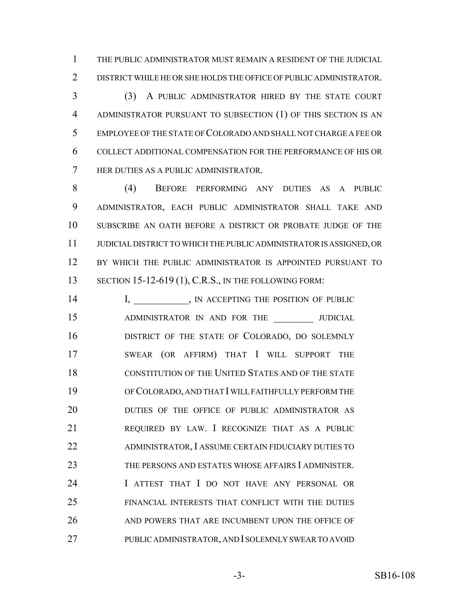THE PUBLIC ADMINISTRATOR MUST REMAIN A RESIDENT OF THE JUDICIAL DISTRICT WHILE HE OR SHE HOLDS THE OFFICE OF PUBLIC ADMINISTRATOR.

 (3) A PUBLIC ADMINISTRATOR HIRED BY THE STATE COURT ADMINISTRATOR PURSUANT TO SUBSECTION (1) OF THIS SECTION IS AN EMPLOYEE OF THE STATE OF COLORADO AND SHALL NOT CHARGE A FEE OR COLLECT ADDITIONAL COMPENSATION FOR THE PERFORMANCE OF HIS OR HER DUTIES AS A PUBLIC ADMINISTRATOR.

 (4) BEFORE PERFORMING ANY DUTIES AS A PUBLIC ADMINISTRATOR, EACH PUBLIC ADMINISTRATOR SHALL TAKE AND SUBSCRIBE AN OATH BEFORE A DISTRICT OR PROBATE JUDGE OF THE JUDICIAL DISTRICT TO WHICH THE PUBLIC ADMINISTRATOR IS ASSIGNED, OR BY WHICH THE PUBLIC ADMINISTRATOR IS APPOINTED PURSUANT TO 13 SECTION 15-12-619 (1), C.R.S., IN THE FOLLOWING FORM:

14 I, N ACCEPTING THE POSITION OF PUBLIC 15 ADMINISTRATOR IN AND FOR THE JUDICIAL **DISTRICT OF THE STATE OF COLORADO, DO SOLEMNLY**  SWEAR (OR AFFIRM) THAT I WILL SUPPORT THE CONSTITUTION OF THE UNITED STATES AND OF THE STATE OF COLORADO, AND THAT I WILL FAITHFULLY PERFORM THE **DUTIES OF THE OFFICE OF PUBLIC ADMINISTRATOR AS**  REQUIRED BY LAW. I RECOGNIZE THAT AS A PUBLIC ADMINISTRATOR, I ASSUME CERTAIN FIDUCIARY DUTIES TO THE PERSONS AND ESTATES WHOSE AFFAIRS I ADMINISTER. 24 I ATTEST THAT I DO NOT HAVE ANY PERSONAL OR FINANCIAL INTERESTS THAT CONFLICT WITH THE DUTIES AND POWERS THAT ARE INCUMBENT UPON THE OFFICE OF PUBLIC ADMINISTRATOR, AND I SOLEMNLY SWEAR TO AVOID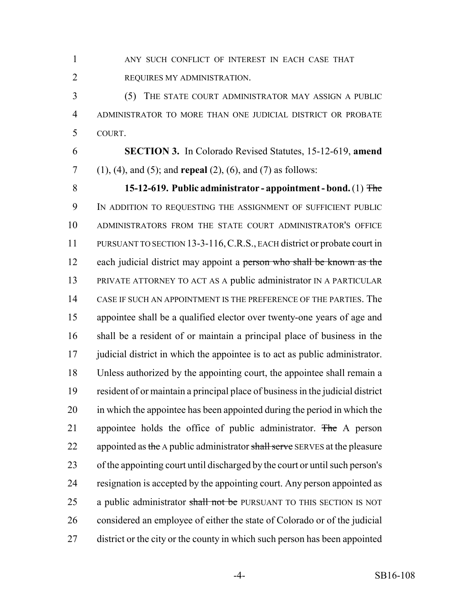ANY SUCH CONFLICT OF INTEREST IN EACH CASE THAT REQUIRES MY ADMINISTRATION.

 (5) THE STATE COURT ADMINISTRATOR MAY ASSIGN A PUBLIC ADMINISTRATOR TO MORE THAN ONE JUDICIAL DISTRICT OR PROBATE COURT.

 **SECTION 3.** In Colorado Revised Statutes, 15-12-619, **amend** (1), (4), and (5); and **repeal** (2), (6), and (7) as follows:

 **15-12-619. Public administrator - appointment - bond.** (1) The IN ADDITION TO REQUESTING THE ASSIGNMENT OF SUFFICIENT PUBLIC ADMINISTRATORS FROM THE STATE COURT ADMINISTRATOR'S OFFICE PURSUANT TO SECTION 13-3-116,C.R.S., EACH district or probate court in 12 each judicial district may appoint a person who shall be known as the PRIVATE ATTORNEY TO ACT AS A public administrator IN A PARTICULAR CASE IF SUCH AN APPOINTMENT IS THE PREFERENCE OF THE PARTIES. The appointee shall be a qualified elector over twenty-one years of age and shall be a resident of or maintain a principal place of business in the judicial district in which the appointee is to act as public administrator. Unless authorized by the appointing court, the appointee shall remain a resident of or maintain a principal place of business in the judicial district in which the appointee has been appointed during the period in which the 21 appointee holds the office of public administrator. The A person 22 appointed as the A public administrator shall serve SERVES at the pleasure of the appointing court until discharged by the court or until such person's resignation is accepted by the appointing court. Any person appointed as 25 a public administrator shall not be PURSUANT TO THIS SECTION IS NOT considered an employee of either the state of Colorado or of the judicial district or the city or the county in which such person has been appointed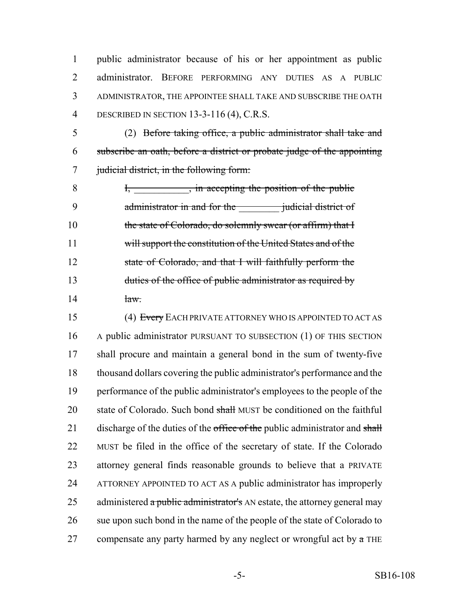public administrator because of his or her appointment as public administrator. BEFORE PERFORMING ANY DUTIES AS A PUBLIC ADMINISTRATOR, THE APPOINTEE SHALL TAKE AND SUBSCRIBE THE OATH DESCRIBED IN SECTION 13-3-116 (4), C.R.S.

 (2) Before taking office, a public administrator shall take and subscribe an oath, before a district or probate judge of the appointing 7 judicial district, in the following form:

8 I, in accepting the position of the public 9 administrator in and for the *judicial district of* 10 the state of Colorado, do solemnly swear (or affirm) that I will support the constitution of the United States and of the state of Colorado, and that I will faithfully perform the 13 duties of the office of public administrator as required by  $14$   $12$ 

15 (4) Every EACH PRIVATE ATTORNEY WHO IS APPOINTED TO ACT AS A public administrator PURSUANT TO SUBSECTION (1) OF THIS SECTION shall procure and maintain a general bond in the sum of twenty-five thousand dollars covering the public administrator's performance and the performance of the public administrator's employees to the people of the 20 state of Colorado. Such bond shall MUST be conditioned on the faithful 21 discharge of the duties of the office of the public administrator and shall MUST be filed in the office of the secretary of state. If the Colorado attorney general finds reasonable grounds to believe that a PRIVATE ATTORNEY APPOINTED TO ACT AS A public administrator has improperly 25 administered  $\alpha$  public administrator's AN estate, the attorney general may sue upon such bond in the name of the people of the state of Colorado to 27 compensate any party harmed by any neglect or wrongful act by  $\alpha$  THE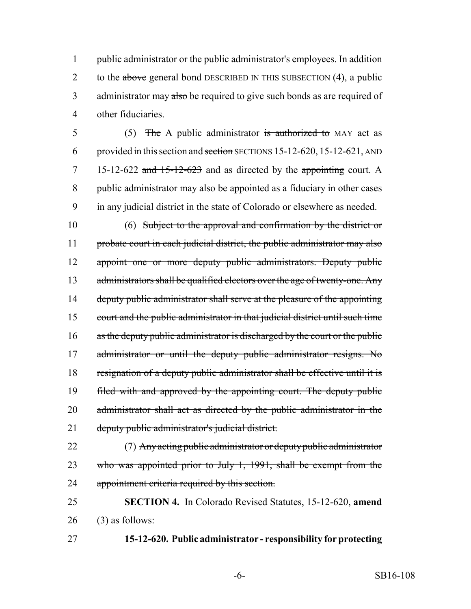public administrator or the public administrator's employees. In addition 2 to the above general bond DESCRIBED IN THIS SUBSECTION (4), a public 3 administrator may also be required to give such bonds as are required of other fiduciaries.

5 (5) The A public administrator is authorized to MAY act as provided in this section and section SECTIONS 15-12-620, 15-12-621, AND 15-12-622 and 15-12-623 and as directed by the appointing court. A public administrator may also be appointed as a fiduciary in other cases in any judicial district in the state of Colorado or elsewhere as needed.

 (6) Subject to the approval and confirmation by the district or 11 probate court in each judicial district, the public administrator may also appoint one or more deputy public administrators. Deputy public 13 administrators shall be qualified electors over the age of twenty-one. Any 14 deputy public administrator shall serve at the pleasure of the appointing court and the public administrator in that judicial district until such time 16 as the deputy public administrator is discharged by the court or the public 17 administrator or until the deputy public administrator resigns. No resignation of a deputy public administrator shall be effective until it is filed with and approved by the appointing court. The deputy public 20 administrator shall act as directed by the public administrator in the deputy public administrator's judicial district.

 (7) Any acting public administrator or deputy public administrator 23 who was appointed prior to July 1, 1991, shall be exempt from the appointment criteria required by this section.

 **SECTION 4.** In Colorado Revised Statutes, 15-12-620, **amend** (3) as follows:

**15-12-620. Public administrator - responsibility for protecting**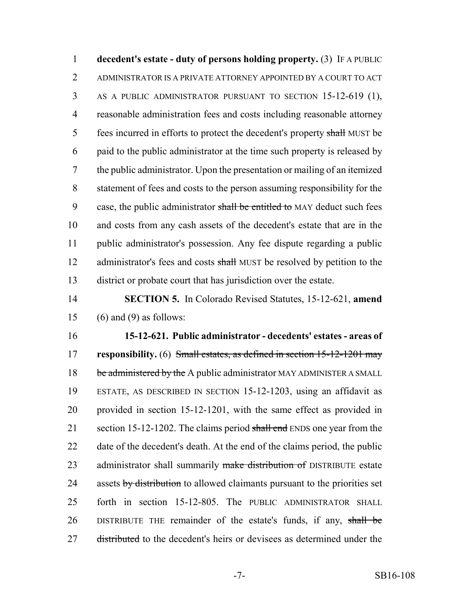**decedent's estate - duty of persons holding property.** (3) IF A PUBLIC ADMINISTRATOR IS A PRIVATE ATTORNEY APPOINTED BY A COURT TO ACT AS A PUBLIC ADMINISTRATOR PURSUANT TO SECTION 15-12-619 (1), reasonable administration fees and costs including reasonable attorney 5 fees incurred in efforts to protect the decedent's property shall MUST be paid to the public administrator at the time such property is released by the public administrator. Upon the presentation or mailing of an itemized statement of fees and costs to the person assuming responsibility for the 9 case, the public administrator shall be entitled to MAY deduct such fees and costs from any cash assets of the decedent's estate that are in the public administrator's possession. Any fee dispute regarding a public 12 administrator's fees and costs shall MUST be resolved by petition to the district or probate court that has jurisdiction over the estate.

 **SECTION 5.** In Colorado Revised Statutes, 15-12-621, **amend** 15 (6) and (9) as follows:

 **15-12-621. Public administrator - decedents' estates - areas of responsibility.** (6) Small estates, as defined in section 15-12-1201 may 18 be administered by the A public administrator MAY ADMINISTER A SMALL ESTATE, AS DESCRIBED IN SECTION 15-12-1203, using an affidavit as provided in section 15-12-1201, with the same effect as provided in 21 section 15-12-1202. The claims period shall end ENDS one year from the date of the decedent's death. At the end of the claims period, the public 23 administrator shall summarily make distribution of DISTRIBUTE estate 24 assets by distribution to allowed claimants pursuant to the priorities set forth in section 15-12-805. The PUBLIC ADMINISTRATOR SHALL 26 DISTRIBUTE THE remainder of the estate's funds, if any, shall be 27 distributed to the decedent's heirs or devisees as determined under the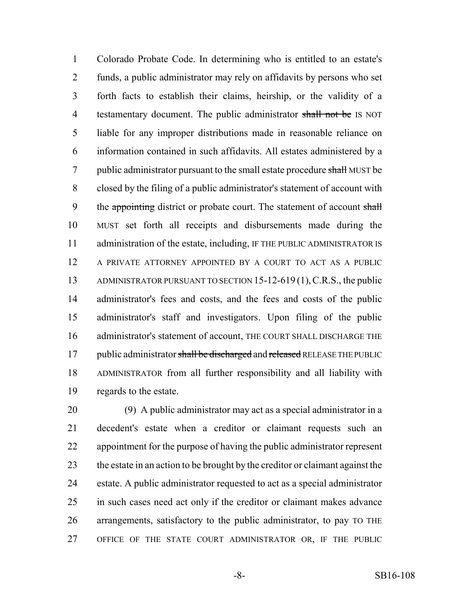Colorado Probate Code. In determining who is entitled to an estate's funds, a public administrator may rely on affidavits by persons who set forth facts to establish their claims, heirship, or the validity of a 4 testamentary document. The public administrator shall not be IS NOT liable for any improper distributions made in reasonable reliance on information contained in such affidavits. All estates administered by a 7 public administrator pursuant to the small estate procedure shall MUST be closed by the filing of a public administrator's statement of account with 9 the appointing district or probate court. The statement of account shall MUST set forth all receipts and disbursements made during the 11 administration of the estate, including, IF THE PUBLIC ADMINISTRATOR IS A PRIVATE ATTORNEY APPOINTED BY A COURT TO ACT AS A PUBLIC 13 ADMINISTRATOR PURSUANT TO SECTION 15-12-619(1), C.R.S., the public administrator's fees and costs, and the fees and costs of the public administrator's staff and investigators. Upon filing of the public 16 administrator's statement of account, THE COURT SHALL DISCHARGE THE 17 public administrator shall be discharged and released RELEASE THE PUBLIC ADMINISTRATOR from all further responsibility and all liability with regards to the estate.

 (9) A public administrator may act as a special administrator in a decedent's estate when a creditor or claimant requests such an appointment for the purpose of having the public administrator represent the estate in an action to be brought by the creditor or claimant against the estate. A public administrator requested to act as a special administrator in such cases need act only if the creditor or claimant makes advance arrangements, satisfactory to the public administrator, to pay TO THE OFFICE OF THE STATE COURT ADMINISTRATOR OR, IF THE PUBLIC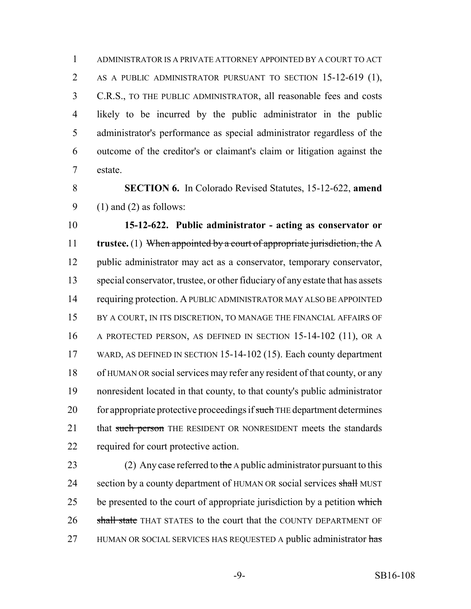ADMINISTRATOR IS A PRIVATE ATTORNEY APPOINTED BY A COURT TO ACT AS A PUBLIC ADMINISTRATOR PURSUANT TO SECTION 15-12-619 (1), C.R.S., TO THE PUBLIC ADMINISTRATOR, all reasonable fees and costs likely to be incurred by the public administrator in the public administrator's performance as special administrator regardless of the outcome of the creditor's or claimant's claim or litigation against the estate.

 **SECTION 6.** In Colorado Revised Statutes, 15-12-622, **amend** 9 (1) and (2) as follows:

 **15-12-622. Public administrator - acting as conservator or trustee.** (1) When appointed by a court of appropriate jurisdiction, the A public administrator may act as a conservator, temporary conservator, special conservator, trustee, or other fiduciary of any estate that has assets requiring protection. A PUBLIC ADMINISTRATOR MAY ALSO BE APPOINTED 15 BY A COURT, IN ITS DISCRETION, TO MANAGE THE FINANCIAL AFFAIRS OF A PROTECTED PERSON, AS DEFINED IN SECTION 15-14-102 (11), OR A WARD, AS DEFINED IN SECTION 15-14-102 (15). Each county department of HUMAN OR social services may refer any resident of that county, or any nonresident located in that county, to that county's public administrator 20 for appropriate protective proceedings if such THE department determines 21 that such person THE RESIDENT OR NONRESIDENT meets the standards required for court protective action.

23 (2) Any case referred to the A public administrator pursuant to this 24 section by a county department of HUMAN OR social services shall MUST 25 be presented to the court of appropriate jurisdiction by a petition which 26 shall state THAT STATES to the court that the COUNTY DEPARTMENT OF 27 HUMAN OR SOCIAL SERVICES HAS REQUESTED A public administrator has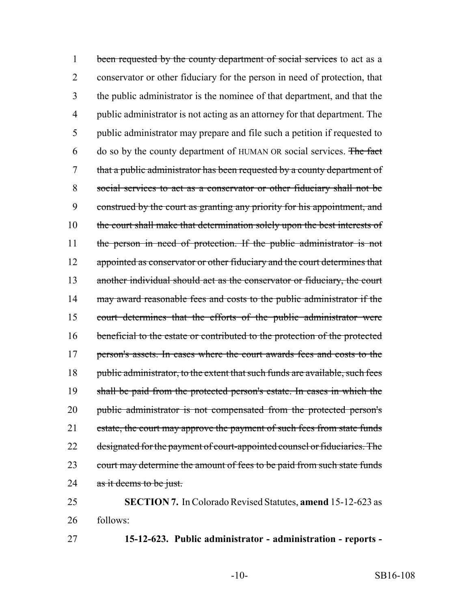1 been requested by the county department of social services to act as a 2 conservator or other fiduciary for the person in need of protection, that 3 the public administrator is the nominee of that department, and that the 4 public administrator is not acting as an attorney for that department. The 5 public administrator may prepare and file such a petition if requested to 6 do so by the county department of HUMAN OR social services. The fact 7 that a public administrator has been requested by a county department of 8 social services to act as a conservator or other fiduciary shall not be 9 construed by the court as granting any priority for his appointment, and 10 the court shall make that determination solely upon the best interests of 11 the person in need of protection. If the public administrator is not 12 appointed as conservator or other fiduciary and the court determines that 13 another individual should act as the conservator or fiduciary, the court 14 may award reasonable fees and costs to the public administrator if the 15 court determines that the efforts of the public administrator were 16 beneficial to the estate or contributed to the protection of the protected 17 person's assets. In cases where the court awards fees and costs to the 18 public administrator, to the extent that such funds are available, such fees 19 shall be paid from the protected person's estate. In cases in which the 20 public administrator is not compensated from the protected person's 21 estate, the court may approve the payment of such fees from state funds 22 designated for the payment of court-appointed counsel or fiduciaries. The 23 court may determine the amount of fees to be paid from such state funds 24 as it deems to be just.

25 **SECTION 7.** In Colorado Revised Statutes, **amend** 15-12-623 as 26 follows:

27 **15-12-623. Public administrator - administration - reports -**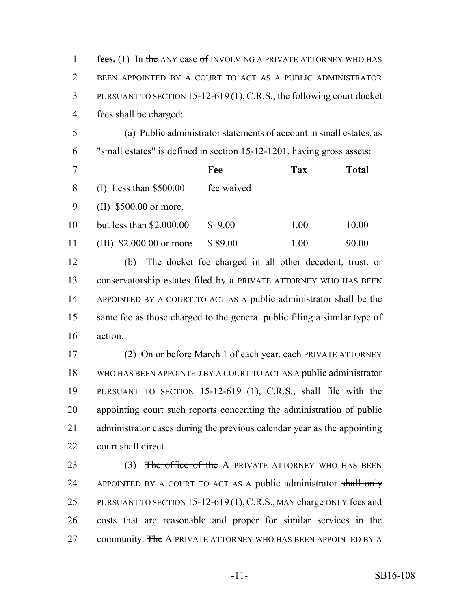| $\mathbf{1}$   | fees. (1) In the ANY case of INVOLVING A PRIVATE ATTORNEY WHO HAS        |            |            |              |  |  |
|----------------|--------------------------------------------------------------------------|------------|------------|--------------|--|--|
| $\overline{2}$ | BEEN APPOINTED BY A COURT TO ACT AS A PUBLIC ADMINISTRATOR               |            |            |              |  |  |
| 3              | PURSUANT TO SECTION 15-12-619 (1), C.R.S., the following court docket    |            |            |              |  |  |
| $\overline{4}$ | fees shall be charged:                                                   |            |            |              |  |  |
| 5              | (a) Public administrator statements of account in small estates, as      |            |            |              |  |  |
| 6              | "small estates" is defined in section 15-12-1201, having gross assets:   |            |            |              |  |  |
| $\tau$         |                                                                          | Fee        | <b>Tax</b> | <b>Total</b> |  |  |
| 8              | $(I)$ Less than \$500.00                                                 | fee waived |            |              |  |  |
| 9              | $(II)$ \$500.00 or more,                                                 |            |            |              |  |  |
| 10             | but less than $$2,000.00$                                                | \$9.00     | 1.00       | 10.00        |  |  |
| 11             | (III) $$2,000.00$ or more                                                | \$89.00    | 1.00       | 90.00        |  |  |
| 12             | The docket fee charged in all other decedent, trust, or<br>(b)           |            |            |              |  |  |
| 13             | conservatorship estates filed by a PRIVATE ATTORNEY WHO HAS BEEN         |            |            |              |  |  |
| 14             | APPOINTED BY A COURT TO ACT AS A public administrator shall be the       |            |            |              |  |  |
| 15             | same fee as those charged to the general public filing a similar type of |            |            |              |  |  |
| 16             | action.                                                                  |            |            |              |  |  |
| 17             | (2) On or before March 1 of each year, each PRIVATE ATTORNEY             |            |            |              |  |  |
| 18             | WHO HAS BEEN APPOINTED BY A COURT TO ACT AS A public administrator       |            |            |              |  |  |
| 19             | PURSUANT TO SECTION 15-12-619 (1), C.R.S., shall file with the           |            |            |              |  |  |
| 20             | appointing court such reports concerning the administration of public    |            |            |              |  |  |
| 21             | administrator cases during the previous calendar year as the appointing  |            |            |              |  |  |
| 22             | court shall direct.                                                      |            |            |              |  |  |

23 (3) The office of the A PRIVATE ATTORNEY WHO HAS BEEN 24 APPOINTED BY A COURT TO ACT AS A public administrator shall only 25 PURSUANT TO SECTION 15-12-619 (1), C.R.S., MAY charge ONLY fees and costs that are reasonable and proper for similar services in the 27 community. The A PRIVATE ATTORNEY WHO HAS BEEN APPOINTED BY A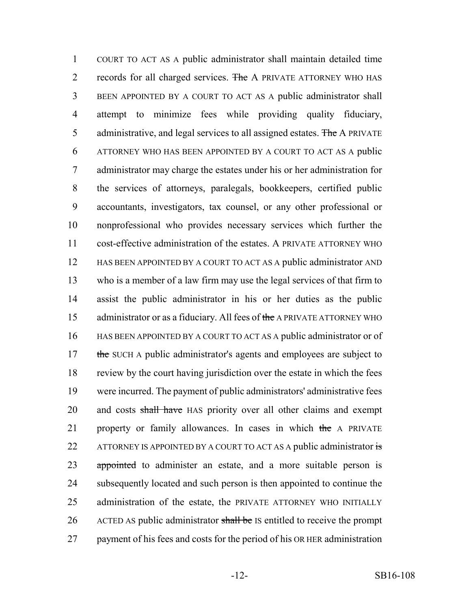COURT TO ACT AS A public administrator shall maintain detailed time 2 records for all charged services. The A PRIVATE ATTORNEY WHO HAS BEEN APPOINTED BY A COURT TO ACT AS A public administrator shall attempt to minimize fees while providing quality fiduciary, 5 administrative, and legal services to all assigned estates. The A PRIVATE ATTORNEY WHO HAS BEEN APPOINTED BY A COURT TO ACT AS A public administrator may charge the estates under his or her administration for the services of attorneys, paralegals, bookkeepers, certified public accountants, investigators, tax counsel, or any other professional or nonprofessional who provides necessary services which further the cost-effective administration of the estates. A PRIVATE ATTORNEY WHO HAS BEEN APPOINTED BY A COURT TO ACT AS A public administrator AND who is a member of a law firm may use the legal services of that firm to assist the public administrator in his or her duties as the public 15 administrator or as a fiduciary. All fees of the A PRIVATE ATTORNEY WHO HAS BEEN APPOINTED BY A COURT TO ACT AS A public administrator or of 17 the SUCH A public administrator's agents and employees are subject to review by the court having jurisdiction over the estate in which the fees were incurred. The payment of public administrators' administrative fees 20 and costs shall have HAS priority over all other claims and exempt 21 property or family allowances. In cases in which the A PRIVATE 22 ATTORNEY IS APPOINTED BY A COURT TO ACT AS A public administrator is 23 appointed to administer an estate, and a more suitable person is subsequently located and such person is then appointed to continue the administration of the estate, the PRIVATE ATTORNEY WHO INITIALLY 26 ACTED AS public administrator shall be IS entitled to receive the prompt payment of his fees and costs for the period of his OR HER administration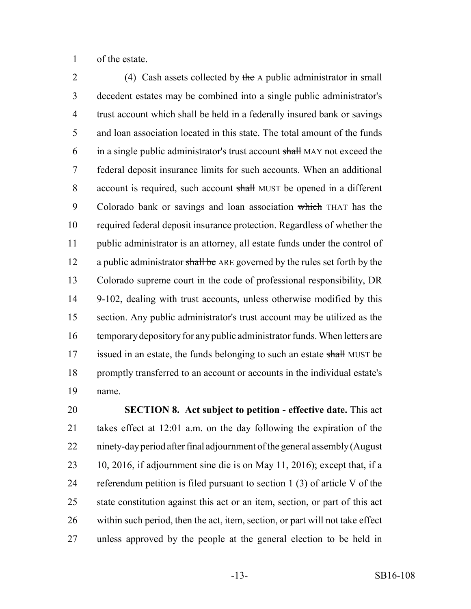of the estate.

2 (4) Cash assets collected by the A public administrator in small decedent estates may be combined into a single public administrator's trust account which shall be held in a federally insured bank or savings and loan association located in this state. The total amount of the funds 6 in a single public administrator's trust account shall MAY not exceed the federal deposit insurance limits for such accounts. When an additional account is required, such account shall MUST be opened in a different 9 Colorado bank or savings and loan association which THAT has the required federal deposit insurance protection. Regardless of whether the public administrator is an attorney, all estate funds under the control of 12 a public administrator shall be ARE governed by the rules set forth by the Colorado supreme court in the code of professional responsibility, DR 9-102, dealing with trust accounts, unless otherwise modified by this section. Any public administrator's trust account may be utilized as the temporary depository for any public administrator funds. When letters are 17 issued in an estate, the funds belonging to such an estate shall MUST be promptly transferred to an account or accounts in the individual estate's name.

 **SECTION 8. Act subject to petition - effective date.** This act takes effect at 12:01 a.m. on the day following the expiration of the ninety-day period after final adjournment of the general assembly (August 10, 2016, if adjournment sine die is on May 11, 2016); except that, if a referendum petition is filed pursuant to section 1 (3) of article V of the state constitution against this act or an item, section, or part of this act within such period, then the act, item, section, or part will not take effect unless approved by the people at the general election to be held in